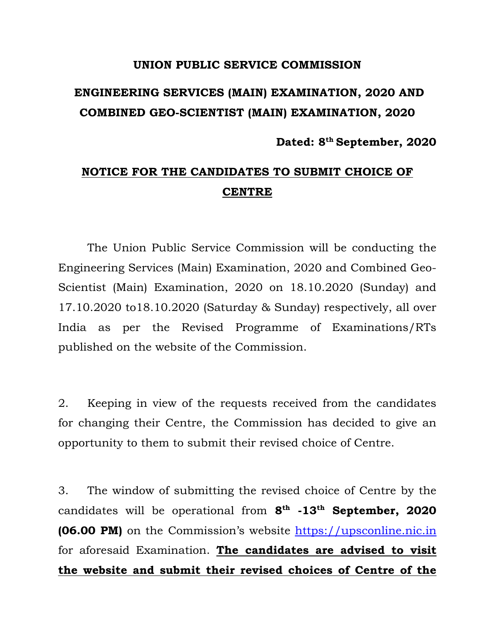## **UNION PUBLIC SERVICE COMMISSION**

## **ENGINEERING SERVICES (MAIN) EXAMINATION, 2020 AND COMBINED GEO-SCIENTIST (MAIN) EXAMINATION, 2020**

**Dated: 8th September, 2020** 

## **NOTICE FOR THE CANDIDATES TO SUBMIT CHOICE OF CENTRE**

 The Union Public Service Commission will be conducting the Engineering Services (Main) Examination, 2020 and Combined Geo-Scientist (Main) Examination, 2020 on 18.10.2020 (Sunday) and 17.10.2020 to18.10.2020 (Saturday & Sunday) respectively, all over India as per the Revised Programme of Examinations/RTs published on the website of the Commission.

2. Keeping in view of the requests received from the candidates for changing their Centre, the Commission has decided to give an opportunity to them to submit their revised choice of Centre.

3. The window of submitting the revised choice of Centre by the candidates will be operational from **8th -13th September, 2020 (06.00 PM)** on the Commission's website https://upsconline.nic.in for aforesaid Examination. **The candidates are advised to visit the website and submit their revised choices of Centre of the**